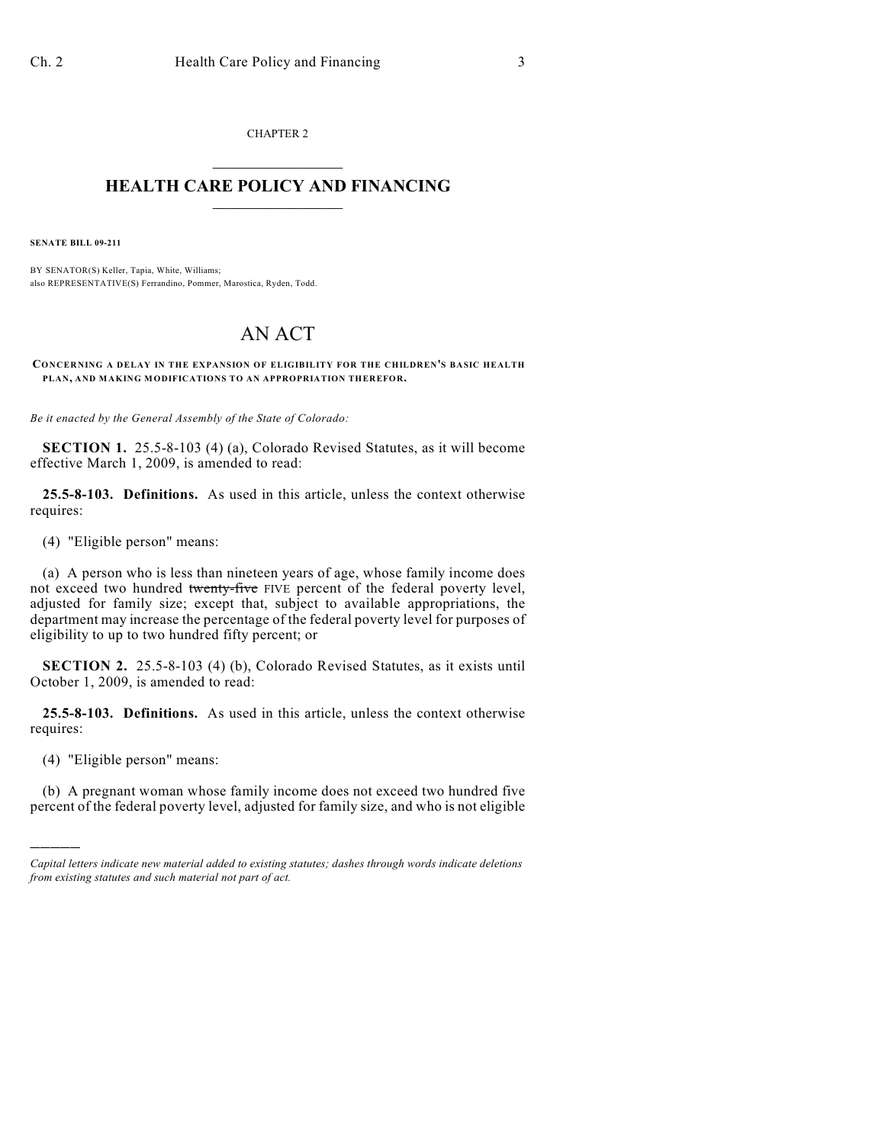CHAPTER 2  $\overline{\phantom{a}}$  . The set of the set of the set of the set of the set of the set of the set of the set of the set of the set of the set of the set of the set of the set of the set of the set of the set of the set of the set o

## **HEALTH CARE POLICY AND FINANCING**  $\_$   $\_$   $\_$   $\_$   $\_$   $\_$   $\_$   $\_$

**SENATE BILL 09-211**

BY SENATOR(S) Keller, Tapia, White, Williams; also REPRESENTATIVE(S) Ferrandino, Pommer, Marostica, Ryden, Todd.

## AN ACT

**CONCERNING A DELAY IN THE EXPANSION OF ELIGIBILITY FOR THE CHILDREN'S BASIC HEALTH PLAN, AND MAKING MODIFICATIONS TO AN APPROPRIATION THEREFOR.**

*Be it enacted by the General Assembly of the State of Colorado:*

**SECTION 1.** 25.5-8-103 (4) (a), Colorado Revised Statutes, as it will become effective March 1, 2009, is amended to read:

**25.5-8-103. Definitions.** As used in this article, unless the context otherwise requires:

(4) "Eligible person" means:

(a) A person who is less than nineteen years of age, whose family income does not exceed two hundred twenty-five FIVE percent of the federal poverty level, adjusted for family size; except that, subject to available appropriations, the department may increase the percentage of the federal poverty level for purposes of eligibility to up to two hundred fifty percent; or

**SECTION 2.** 25.5-8-103 (4) (b), Colorado Revised Statutes, as it exists until October 1, 2009, is amended to read:

**25.5-8-103. Definitions.** As used in this article, unless the context otherwise requires:

(4) "Eligible person" means:

)))))

(b) A pregnant woman whose family income does not exceed two hundred five percent of the federal poverty level, adjusted for family size, and who is not eligible

*Capital letters indicate new material added to existing statutes; dashes through words indicate deletions from existing statutes and such material not part of act.*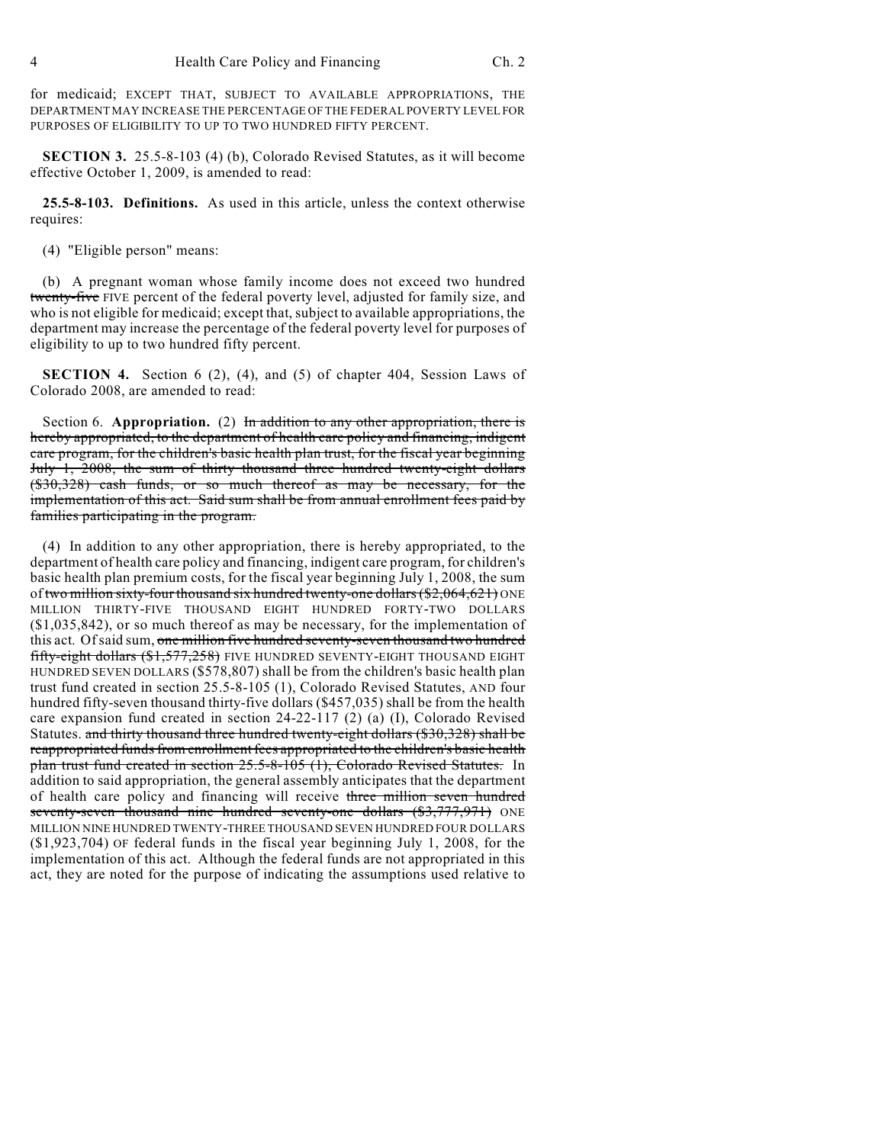for medicaid; EXCEPT THAT, SUBJECT TO AVAILABLE APPROPRIATIONS, THE DEPARTMENT MAY INCREASE THE PERCENTAGE OF THE FEDERAL POVERTY LEVEL FOR PURPOSES OF ELIGIBILITY TO UP TO TWO HUNDRED FIFTY PERCENT.

**SECTION 3.** 25.5-8-103 (4) (b), Colorado Revised Statutes, as it will become effective October 1, 2009, is amended to read:

**25.5-8-103. Definitions.** As used in this article, unless the context otherwise requires:

(4) "Eligible person" means:

(b) A pregnant woman whose family income does not exceed two hundred twenty-five FIVE percent of the federal poverty level, adjusted for family size, and who is not eligible for medicaid; except that, subject to available appropriations, the department may increase the percentage of the federal poverty level for purposes of eligibility to up to two hundred fifty percent.

**SECTION 4.** Section 6 (2), (4), and (5) of chapter 404, Session Laws of Colorado 2008, are amended to read:

Section 6. **Appropriation.** (2) In addition to any other appropriation, there is hereby appropriated, to the department of health care policy and financing, indigent care program, for the children's basic health plan trust, for the fiscal year beginning July 1, 2008, the sum of thirty thousand three hundred twenty-eight dollars (\$30,328) cash funds, or so much thereof as may be necessary, for the implementation of this act. Said sum shall be from annual enrollment fees paid by families participating in the program.

(4) In addition to any other appropriation, there is hereby appropriated, to the department of health care policy and financing, indigent care program, for children's basic health plan premium costs, for the fiscal year beginning July 1, 2008, the sum of two million sixty-four thousand six hundred twenty-one dollars (\$2,064,621) ONE MILLION THIRTY-FIVE THOUSAND EIGHT HUNDRED FORTY-TWO DOLLARS (\$1,035,842), or so much thereof as may be necessary, for the implementation of this act. Of said sum, one million five hundred seventy-seven thousand two hundred fifty-eight dollars (\$1,577,258) FIVE HUNDRED SEVENTY-EIGHT THOUSAND EIGHT HUNDRED SEVEN DOLLARS (\$578,807) shall be from the children's basic health plan trust fund created in section 25.5-8-105 (1), Colorado Revised Statutes, AND four hundred fifty-seven thousand thirty-five dollars (\$457,035) shall be from the health care expansion fund created in section 24-22-117 (2) (a) (I), Colorado Revised Statutes. and thirty thousand three hundred twenty-eight dollars (\$30,328) shall be reappropriated funds from enrollment fees appropriated to the children's basic health plan trust fund created in section 25.5-8-105 (1), Colorado Revised Statutes. In addition to said appropriation, the general assembly anticipates that the department of health care policy and financing will receive three million seven hundred seventy-seven thousand nine hundred seventy-one dollars (\$3,777,971) ONE MILLION NINE HUNDRED TWENTY-THREE THOUSAND SEVEN HUNDRED FOUR DOLLARS (\$1,923,704) OF federal funds in the fiscal year beginning July 1, 2008, for the implementation of this act. Although the federal funds are not appropriated in this act, they are noted for the purpose of indicating the assumptions used relative to